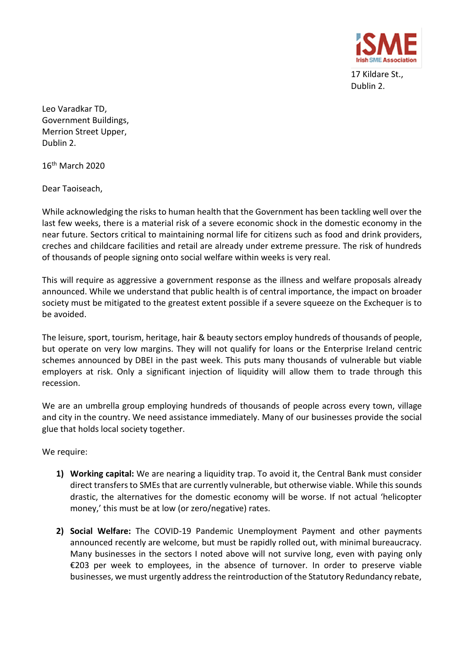

17 Kildare St., Dublin 2.

Leo Varadkar TD, Government Buildings, Merrion Street Upper, Dublin 2.

16th March 2020

Dear Taoiseach,

While acknowledging the risks to human health that the Government has been tackling well over the last few weeks, there is a material risk of a severe economic shock in the domestic economy in the near future. Sectors critical to maintaining normal life for citizens such as food and drink providers, creches and childcare facilities and retail are already under extreme pressure. The risk of hundreds of thousands of people signing onto social welfare within weeks is very real.

This will require as aggressive a government response as the illness and welfare proposals already announced. While we understand that public health is of central importance, the impact on broader society must be mitigated to the greatest extent possible if a severe squeeze on the Exchequer is to be avoided.

The leisure, sport, tourism, heritage, hair & beauty sectors employ hundreds of thousands of people, but operate on very low margins. They will not qualify for loans or the Enterprise Ireland centric schemes announced by DBEI in the past week. This puts many thousands of vulnerable but viable employers at risk. Only a significant injection of liquidity will allow them to trade through this recession.

We are an umbrella group employing hundreds of thousands of people across every town, village and city in the country. We need assistance immediately. Many of our businesses provide the social glue that holds local society together.

We require:

- **1) Working capital:** We are nearing a liquidity trap. To avoid it, the Central Bank must consider direct transfers to SMEs that are currently vulnerable, but otherwise viable. While this sounds drastic, the alternatives for the domestic economy will be worse. If not actual 'helicopter money,' this must be at low (or zero/negative) rates.
- **2) Social Welfare:** The COVID-19 Pandemic Unemployment Payment and other payments announced recently are welcome, but must be rapidly rolled out, with minimal bureaucracy. Many businesses in the sectors I noted above will not survive long, even with paying only €203 per week to employees, in the absence of turnover. In order to preserve viable businesses, we must urgently address the reintroduction of the Statutory Redundancy rebate,